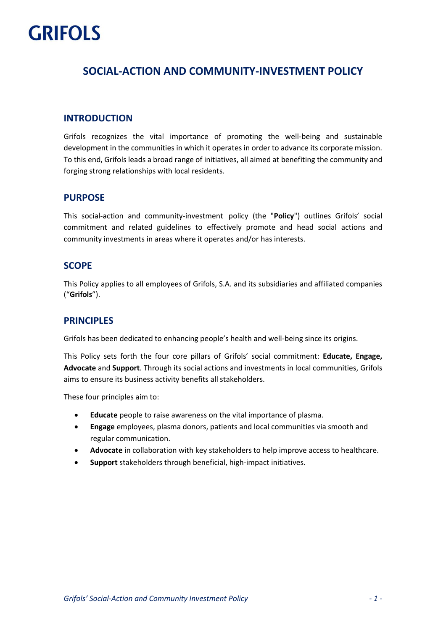# **GRIFOLS**

# **SOCIAL-ACTION AND COMMUNITY-INVESTMENT POLICY**

## **INTRODUCTION**

Grifols recognizes the vital importance of promoting the well-being and sustainable development in the communities in which it operates in order to advance its corporate mission. To this end, Grifols leads a broad range of initiatives, all aimed at benefiting the community and forging strong relationships with local residents.

## **PURPOSE**

This social-action and community-investment policy (the "**Policy**") outlines Grifols' social commitment and related guidelines to effectively promote and head social actions and community investments in areas where it operates and/or has interests.

## **SCOPE**

This Policy applies to all employees of Grifols, S.A. and its subsidiaries and affiliated companies ("**Grifols**").

## **PRINCIPLES**

Grifols has been dedicated to enhancing people's health and well-being since its origins.

This Policy sets forth the four core pillars of Grifols' social commitment: **Educate, Engage, Advocate** and **Support**. Through its social actions and investments in local communities, Grifols aims to ensure its business activity benefits all stakeholders.

These four principles aim to:

- **Educate** people to raise awareness on the vital importance of plasma.
- **Engage** employees, plasma donors, patients and local communities via smooth and regular communication.
- **Advocate** in collaboration with key stakeholders to help improve access to healthcare.
- **Support** stakeholders through beneficial, high-impact initiatives.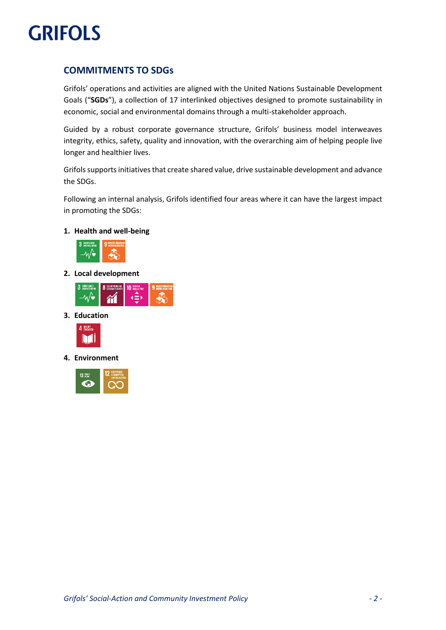

# **COMMITMENTS TO SDGs**

Grifols' operations and activities are aligned with the United Nations Sustainable Development Goals ("**SGDs**"), a collection of 17 interlinked objectives designed to promote sustainability in economic, social and environmental domains through a multi-stakeholder approach.

Guided by a robust corporate governance structure, Grifols' business model interweaves integrity, ethics, safety, quality and innovation, with the overarching aim of helping people live longer and healthier lives.

Grifols supports initiatives that create shared value, drive sustainable development and advance the SDGs.

Following an internal analysis, Grifols identified four areas where it can have the largest impact in promoting the SDGs:

#### **1. Health and well-being**



**2. Local development**



**3. Education**



**4. Environment**

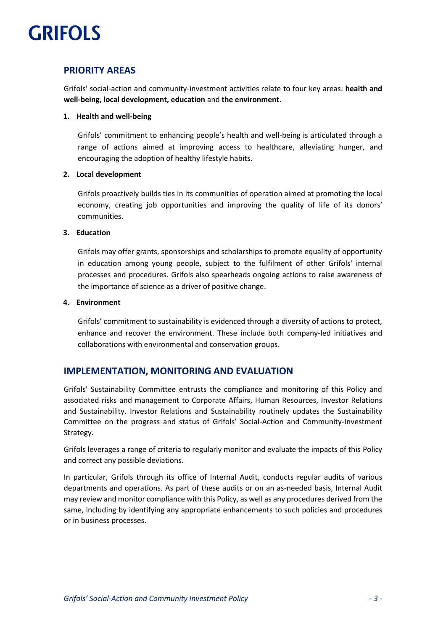# **GRIFOLS**

# **PRIORITY AREAS**

Grifols' social-action and community-investment activities relate to four key areas: **health and well-being, local development, education** and **the environment**.

## **1. Health and well-being**

Grifols' commitment to enhancing people's health and well-being is articulated through a range of actions aimed at improving access to healthcare, alleviating hunger, and encouraging the adoption of healthy lifestyle habits.

## **2. Local development**

Grifols proactively builds ties in its communities of operation aimed at promoting the local economy, creating job opportunities and improving the quality of life of its donors' communities.

## **3. Education**

Grifols may offer grants, sponsorships and scholarships to promote equality of opportunity in education among young people, subject to the fulfilment of other Grifols' internal processes and procedures. Grifols also spearheads ongoing actions to raise awareness of the importance of science as a driver of positive change.

## **4. Environment**

Grifols' commitment to sustainability is evidenced through a diversity of actions to protect, enhance and recover the environment. These include both company-led initiatives and collaborations with environmental and conservation groups.

# **IMPLEMENTATION, MONITORING AND EVALUATION**

Grifols' Sustainability Committee entrusts the compliance and monitoring of this Policy and associated risks and management to Corporate Affairs, Human Resources, Investor Relations and Sustainability. Investor Relations and Sustainability routinely updates the Sustainability Committee on the progress and status of Grifols' Social-Action and Community-Investment Strategy.

Grifols leverages a range of criteria to regularly monitor and evaluate the impacts of this Policy and correct any possible deviations.

In particular, Grifols through its office of Internal Audit, conducts regular audits of various departments and operations. As part of these audits or on an as-needed basis, Internal Audit may review and monitor compliance with this Policy, as well as any procedures derived from the same, including by identifying any appropriate enhancements to such policies and procedures or in business processes.